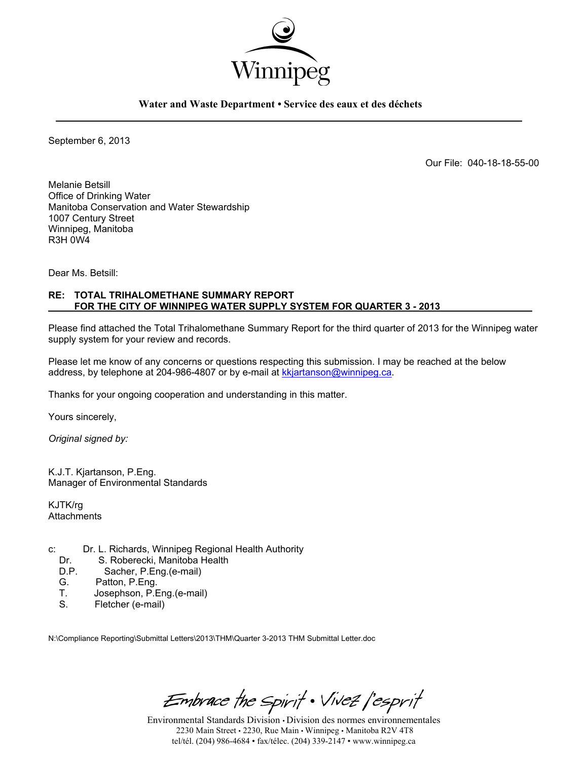

**Water and Waste Department • Service des eaux et des déchets** 

September 6, 2013

Our File: 040-18-18-55-00

Melanie Betsill Office of Drinking Water Manitoba Conservation and Water Stewardship 1007 Century Street Winnipeg, Manitoba R3H 0W4

Dear Ms. Betsill:

#### **RE: TOTAL TRIHALOMETHANE SUMMARY REPORT FOR THE CITY OF WINNIPEG WATER SUPPLY SYSTEM FOR QUARTER 3 - 2013**

Please find attached the Total Trihalomethane Summary Report for the third quarter of 2013 for the Winnipeg water supply system for your review and records.

Please let me know of any concerns or questions respecting this submission. I may be reached at the below address, by telephone at 204-986-4807 or by e-mail at kkjartanson@winnipeg.ca.

Thanks for your ongoing cooperation and understanding in this matter.

Yours sincerely,

*Original signed by:* 

K.J.T. Kjartanson, P.Eng. Manager of Environmental Standards

KJTK/rg **Attachments** 

- c: Dr. L. Richards, Winnipeg Regional Health Authority<br>Dr. S. Roberecki. Manitoba Health
	- Dr. S. Roberecki, Manitoba Health<br>D.P. Sacher. P. Eng. (e-mail)
	- Sacher, P.Eng.(e-mail)
	- G. Patton, P.Eng.<br>T. Josephson, P.F.
	- T. Josephson, P.Eng.(e-mail)<br>S. Fletcher (e-mail)
	- Fletcher (e-mail)

N:\Compliance Reporting\Submittal Letters\2013\THM\Quarter 3-2013 THM Submittal Letter.doc

Embrace the Spirit . Vivez l'esprit

Environmental Standards Division • Division des normes environnementales 2230 Main Street • 2230, Rue Main • Winnipeg • Manitoba R2V 4T8 tel/tél. (204) 986-4684 • fax/télec. (204) 339-2147 • www.winnipeg.ca